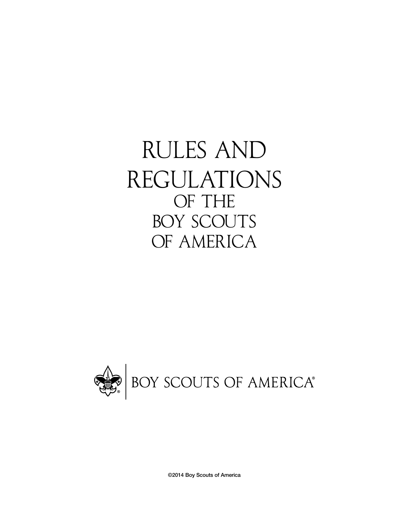# rules and **REGULATIONS** OF THE BOY SCOUTS OF AMERICA



©2014 Boy Scouts of America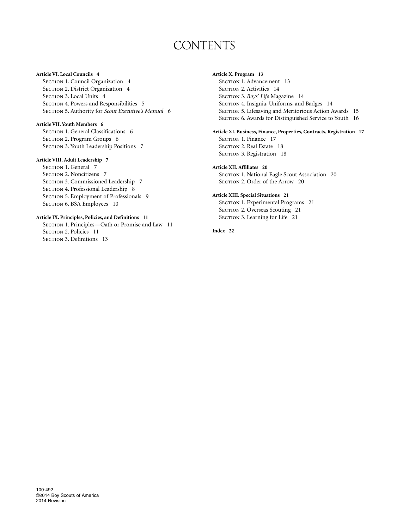# **CONTENTS**

# **Article VI. Local Councils 4**

SECTION 1. Council Organization 4 SECTION 2. District Organization 4 SECTION 3. Local Units 4 SECTION 4. Powers and Responsibilities 5 SECTION 5. Authority for *Scout Executive's Manual* 6

#### **Article VII. Youth Members 6**

SECTION 1. General Classifications 6 SECTION 2. Program Groups 6 SECTION 3. Youth Leadership Positions 7

#### **Article VIII. Adult Leadership 7**

SECTION 1. General 7 SECTION 2. Noncitizens 7 SECTION 3. Commissioned Leadership 7 SECTION 4. Professional Leadership 8 SECTION 5. Employment of Professionals 9 SECTION 6. BSA Employees 10

# **Article IX. Principles, Policies, and Definitions 11**

SECTION 1. Principles—Oath or Promise and Law 11 SECTION 2. Policies 11 SECTION 3. Definitions 13

#### **Article X. Program 13**

SECTION 1. Advancement 13 SECTION 2. Activities 14 SECTION 3. *Boys' Life* Magazine 14 SECTION 4. Insignia, Uniforms, and Badges 14 SECTION 5. Lifesaving and Meritorious Action Awards 15 SECTION 6. Awards for Distinguished Service to Youth 16

#### **Article XI. Business, Finance, Properties, Contracts, Registration 17** SECTION 1. Finance 17

SECTION 2. Real Estate 18 SECTION 3. Registration 18

**Article XII. Affiliates 20** SECTION 1. National Eagle Scout Association 20 SECTION 2. Order of the Arrow 20

#### **Article XIII. Special Situations 21**

SECTION 1. Experimental Programs 21 SECTION 2. Overseas Scouting 21 SECTION 3. Learning for Life 21

#### **Index 22**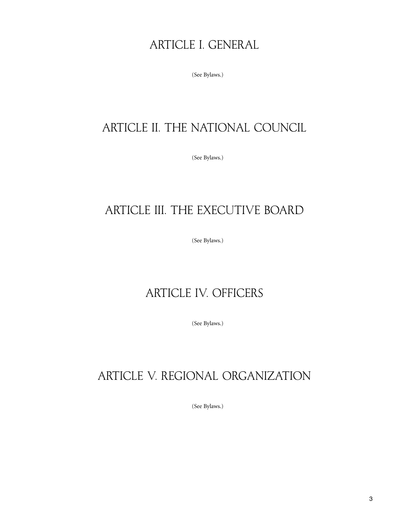# ARTICLE I. GENERAL

(See Bylaws.)

# ARTICLE II. THE NATIONAL COUNCIL

(See Bylaws.)

# ARTICLE III. THE EXECUTIVE BOARD

(See Bylaws.)

# ARTICLE IV. OFFICERS

(See Bylaws.)

# ARTICLE V. REGIONAL ORGANIZATION

(See Bylaws.)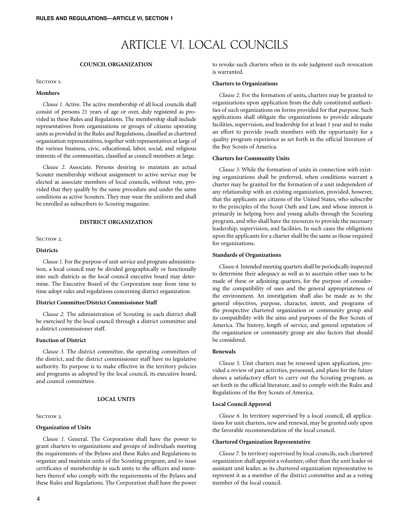# ARTICLE VI. LOCAL COUNCILS

#### **COUNCIL ORGANIZATION**

SECTION 1.

#### **Members**

*Clause 1.* Active. The active membership of all local councils shall consist of persons 21 years of age or over, duly registered as provided in these Rules and Regulations. The membership shall include representatives from organizations or groups of citizens operating units as provided in the Rules and Regulations, classified as chartered organization representatives, together with representatives at large of the various business, civic, educational, labor, social, and religious interests of the communities, classified as council members at large.

*Clause 2.* Associate. Persons desiring to maintain an actual Scouter membership without assignment to active service may be elected as associate members of local councils, without vote, provided that they qualify by the same procedure and under the same conditions as active Scouters. They may wear the uniform and shall be enrolled as subscribers to *Scouting* magazine.

#### **DISTRICT ORGANIZATION**

SECTION<sub>2</sub>.

#### **Districts**

*Clause 1.* For the purpose of unit service and program administration, a local council may be divided geographically or functionally into such districts as the local council executive board may determine. The Executive Board of the Corporation may from time to time adopt rules and regulations concerning district organization.

#### **District Committee/District Commissioner Staff**

*Clause 2.* The administration of Scouting in each district shall be exercised by the local council through a district committee and a district commissioner staff.

#### **Function of District**

*Clause 3.* The district committee, the operating committees of the district, and the district commissioner staff have no legislative authority. Its purpose is to make effective in the territory policies and programs as adopted by the local council, its executive board, and council committees.

#### **LOCAL UNITS**

#### SECTION 3.

#### **Organization of Units**

*Clause 1.* General. The Corporation shall have the power to grant charters to organizations and groups of individuals meeting the requirements of the Bylaws and these Rules and Regulations to organize and maintain units of the Scouting program, and to issue certificates of membership in such units to the officers and members thereof who comply with the requirements of the Bylaws and these Rules and Regulations. The Corporation shall have the power

to revoke such charters when in its sole judgment such revocation is warranted.

#### **Charters to Organizations**

*Clause 2.* For the formation of units, charters may be granted to organizations upon application from the duly constituted authorities of such organizations on forms provided for that purpose. Such applications shall obligate the organizations to provide adequate facilities, supervision, and leadership for at least 1 year and to make an effort to provide youth members with the opportunity for a quality program experience as set forth in the official literature of the Boy Scouts of America.

#### **Charters for Community Units**

*Clause 3.* While the formation of units in connection with existing organizations shall be preferred, when conditions warrant a charter may be granted for the formation of a unit independent of any relationship with an existing organization, provided, however, that the applicants are citizens of the United States, who subscribe to the principles of the Scout Oath and Law, and whose interest is primarily in helping boys and young adults through the Scouting program, and who shall have the resources to provide the necessary leadership, supervision, and facilities. In such cases the obligations upon the applicants for a charter shall be the same as those required for organizations.

#### **Standards of Organizations**

*Clause 4.* Intended meeting quarters shall be periodically inspected to determine their adequacy as well as to ascertain other uses to be made of these or adjoining quarters, for the purpose of considering the compatibility of uses and the general appropriateness of the environment. An investigation shall also be made as to the general objectives, purpose, character, intent, and programs of the prospective chartered organization or community group and its compatibility with the aims and purposes of the Boy Scouts of America. The history, length of service, and general reputation of the organization or community group are also factors that should be considered.

#### **Renewals**

*Clause 5.* Unit charters may be renewed upon application, provided a review of past activities, personnel, and plans for the future shows a satisfactory effort to carry out the Scouting program, as set forth in the official literature, and to comply with the Rules and Regulations of the Boy Scouts of America.

#### **Local Council Approval**

*Clause 6.* In territory supervised by a local council, all applications for unit charters, new and renewal, may be granted only upon the favorable recommendation of the local council.

#### **Chartered Organization Representative**

*Clause 7.* In territory supervised by local councils, each chartered organization shall appoint a volunteer, other than the unit leader or assistant unit leader, as its chartered organization representative to represent it as a member of the district committee and as a voting member of the local council.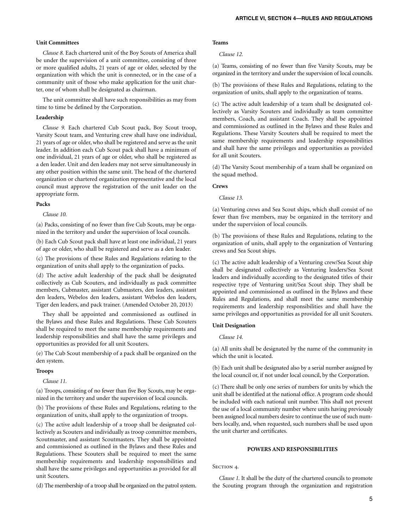#### **Unit Committees**

*Clause 8.* Each chartered unit of the Boy Scouts of America shall be under the supervision of a unit committee, consisting of three or more qualified adults, 21 years of age or older, selected by the organization with which the unit is connected, or in the case of a community unit of those who make application for the unit charter, one of whom shall be designated as chairman.

The unit committee shall have such responsibilities as may from time to time be defined by the Corporation.

#### **Leadership**

*Clause 9.* Each chartered Cub Scout pack, Boy Scout troop, Varsity Scout team, and Venturing crew shall have one individual, 21 years of age or older, who shall be registered and serve as the unit leader. In addition each Cub Scout pack shall have a minimum of one individual, 21 years of age or older, who shall be registered as a den leader. Unit and den leaders may not serve simultaneously in any other position within the same unit. The head of the chartered organization or chartered organization representative and the local council must approve the registration of the unit leader on the appropriate form.

#### **Packs**

*Clause 10.*

(a) Packs, consisting of no fewer than five Cub Scouts, may be organized in the territory and under the supervision of local councils.

(b) Each Cub Scout pack shall have at least one individual, 21 years of age or older, who shall be registered and serve as a den leader.

(c) The provisions of these Rules and Regulations relating to the organization of units shall apply to the organization of packs.

(d) The active adult leadership of the pack shall be designated collectively as Cub Scouters, and individually as pack committee members, Cubmaster, assistant Cubmasters, den leaders, assistant den leaders, Webelos den leaders, assistant Webelos den leaders, Tiger den leaders, and pack trainer. (Amended October 20, 2013)

They shall be appointed and commissioned as outlined in the Bylaws and these Rules and Regulations. These Cub Scouters shall be required to meet the same membership requirements and leadership responsibilities and shall have the same privileges and opportunities as provided for all unit Scouters.

(e) The Cub Scout membership of a pack shall be organized on the den system.

#### **Troops**

*Clause 11.*

(a) Troops, consisting of no fewer than five Boy Scouts, may be organized in the territory and under the supervision of local councils.

(b) The provisions of these Rules and Regulations, relating to the organization of units, shall apply to the organization of troops.

(c) The active adult leadership of a troop shall be designated collectively as Scouters and individually as troop committee members, Scoutmaster, and assistant Scoutmasters. They shall be appointed and commissioned as outlined in the Bylaws and these Rules and Regulations. These Scouters shall be required to meet the same membership requirements and leadership responsibilities and shall have the same privileges and opportunities as provided for all unit Scouters.

(d) The membership of a troop shall be organized on the patrol system.

### **Teams**

*Clause 12.*

(a) Teams, consisting of no fewer than five Varsity Scouts, may be organized in the territory and under the supervision of local councils.

(b) The provisions of these Rules and Regulations, relating to the organization of units, shall apply to the organization of teams.

(c) The active adult leadership of a team shall be designated collectively as Varsity Scouters and individually as team committee members, Coach, and assistant Coach. They shall be appointed and commissioned as outlined in the Bylaws and these Rules and Regulations. These Varsity Scouters shall be required to meet the same membership requirements and leadership responsibilities and shall have the same privileges and opportunities as provided for all unit Scouters.

(d) The Varsity Scout membership of a team shall be organized on the squad method.

#### **Crews**

*Clause 13.*

(a) Venturing crews and Sea Scout ships, which shall consist of no fewer than five members, may be organized in the territory and under the supervision of local councils.

(b) The provisions of these Rules and Regulations, relating to the organization of units, shall apply to the organization of Venturing crews and Sea Scout ships.

(c) The active adult leadership of a Venturing crew/Sea Scout ship shall be designated collectively as Venturing leaders/Sea Scout leaders and individually according to the designated titles of their respective type of Venturing unit/Sea Scout ship. They shall be appointed and commissioned as outlined in the Bylaws and these Rules and Regulations, and shall meet the same membership requirements and leadership responsibilities and shall have the same privileges and opportunities as provided for all unit Scouters.

#### **Unit Designation**

*Clause 14.*

(a) All units shall be designated by the name of the community in which the unit is located.

(b) Each unit shall be designated also by a serial number assigned by the local council or, if not under local council, by the Corporation.

(c) There shall be only one series of numbers for units by which the unit shall be identified at the national office. A program code should be included with each national unit number. This shall not prevent the use of a local community number where units having previously been assigned local numbers desire to continue the use of such numbers locally, and, when requested, such numbers shall be used upon the unit charter and certificates.

#### **POWERS AND RESPONSIBILITIES**

#### SECTION 4.

*Clause 1.* It shall be the duty of the chartered councils to promote the Scouting program through the organization and registration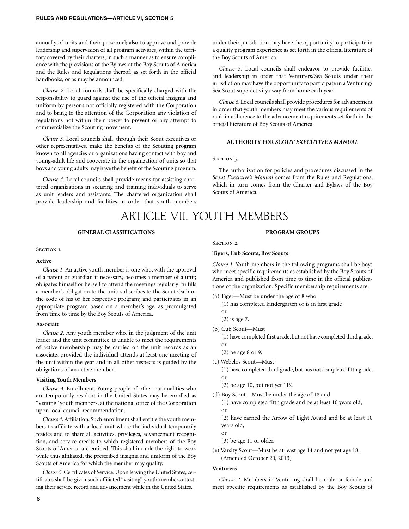annually of units and their personnel; also to approve and provide leadership and supervision of all program activities, within the territory covered by their charters, in such a manner as to ensure compliance with the provisions of the Bylaws of the Boy Scouts of America and the Rules and Regulations thereof, as set forth in the official handbooks, or as may be announced.

*Clause 2.* Local councils shall be specifically charged with the responsibility to guard against the use of the official insignia and uniform by persons not officially registered with the Corporation and to bring to the attention of the Corporation any violation of regulations not within their power to prevent or any attempt to commercialize the Scouting movement.

*Clause 3.* Local councils shall, through their Scout executives or other representatives, make the benefits of the Scouting program known to all agencies or organizations having contact with boy and young-adult life and cooperate in the organization of units so that boys and young adults may have the benefit of the Scouting program.

*Clause 4.* Local councils shall provide means for assisting chartered organizations in securing and training individuals to serve as unit leaders and assistants. The chartered organization shall provide leadership and facilities in order that youth members

### under their jurisdiction may have the opportunity to participate in a quality program experience as set forth in the official literature of the Boy Scouts of America.

*Clause 5.* Local councils shall endeavor to provide facilities and leadership in order that Venturers/Sea Scouts under their jurisdiction may have the opportunity to participate in a Venturing/ Sea Scout superactivity away from home each year.

*Clause 6*. Local councils shall provide procedures for advancement in order that youth members may meet the various requirements of rank in adherence to the advancement requirements set forth in the official literature of Boy Scouts of America.

# **AUTHORITY FOR** *SCOUT EXECUTIVE'S MANUAL*

# SECTION<sub>5</sub>.

The authorization for policies and procedures discussed in the *Scout Executive's Manual* comes from the Rules and Regulations, which in turn comes from the Charter and Bylaws of the Boy Scouts of America.

# ARTICLE VII. YOUTH MEMBERS

#### **GENERAL CLASSIFICATIONS**

SECTION<sub>1</sub>.

#### **Active**

*Clause 1.* An active youth member is one who, with the approval of a parent or guardian if necessary, becomes a member of a unit; obligates himself or herself to attend the meetings regularly; fulfills a member's obligation to the unit; subscribes to the Scout Oath or the code of his or her respective program; and participates in an appropriate program based on a member's age, as promulgated from time to time by the Boy Scouts of America.

#### **Associate**

*Clause 2.* Any youth member who, in the judgment of the unit leader and the unit committee, is unable to meet the requirements of active membership may be carried on the unit records as an associate, provided the individual attends at least one meeting of the unit within the year and in all other respects is guided by the obligations of an active member.

#### **Visiting Youth Members**

*Clause 3.* Enrollment. Young people of other nationalities who are temporarily resident in the United States may be enrolled as "visiting" youth members, at the national office of the Corporation upon local council recommendation.

*Clause 4.* Affiliation. Such enrollment shall entitle the youth members to affiliate with a local unit where the individual temporarily resides and to share all activities, privileges, advancement recognition, and service credits to which registered members of the Boy Scouts of America are entitled. This shall include the right to wear, while thus affiliated, the prescribed insignia and uniform of the Boy Scouts of America for which the member may qualify.

*Clause 5.* Certificates of Service. Upon leaving the United States, certificates shall be given such affiliated "visiting" youth members attesting their service record and advancement while in the United States.

#### **PROGRAM GROUPS**

SECTION 2.

#### **Tigers, Cub Scouts, Boy Scouts**

*Clause 1*. Youth members in the following programs shall be boys who meet specific requirements as established by the Boy Scouts of America and published from time to time in the official publications of the organization. Specific membership requirements are:

- (a) Tiger—Must be under the age of 8 who
	- (1) has completed kindergarten or is in first grade
	- or
	- (2) is age 7.
- (b) Cub Scout—Must

(1) have completed first grade, but not have completed third grade, or

- (2) be age 8 or 9.
- (c) Webelos Scout—Must

(1) have completed third grade, but has not completed fifth grade, or

- $(2)$  be age 10, but not yet 11<sup>1</sup>%.
- (d) Boy Scout—Must be under the age of 18 and
	- (1) have completed fifth grade and be at least 10 years old, or

(2) have earned the Arrow of Light Award and be at least 10 years old,

- or
- (3) be age 11 or older.
- (e) Varsity Scout—Must be at least age 14 and not yet age 18. (Amended October 20, 2013)

#### **Venturers**

*Clause 2.* Members in Venturing shall be male or female and meet specific requirements as established by the Boy Scouts of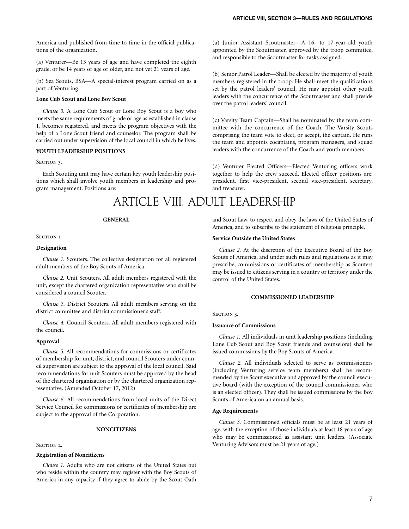America and published from time to time in the official publications of the organization.

(a) Venturer—Be 13 years of age and have completed the eighth grade, or be 14 years of age or older, and not yet 21 years of age.

(b) Sea Scouts, BSA—A special-interest program carried on as a part of Venturing.

#### **Lone Cub Scout and Lone Boy Scout**

*Clause 3.* A Lone Cub Scout or Lone Boy Scout is a boy who meets the same requirements of grade or age as established in clause 1, becomes registered, and meets the program objectives with the help of a Lone Scout friend and counselor. The program shall be carried out under supervision of the local council in which he lives.

#### **Youth Leadership Positions**

#### SECTION 3.

Each Scouting unit may have certain key youth leadership positions which shall involve youth members in leadership and program management. Positions are:

# ARTICLE VIII. ADULT LEADERSHIP

# **GENERAL**

SECTION 1.

#### **Designation**

*Clause 1.* Scouters. The collective designation for all registered adult members of the Boy Scouts of America.

*Clause 2.* Unit Scouters. All adult members registered with the unit, except the chartered organization representative who shall be considered a council Scouter.

*Clause 3.* District Scouters. All adult members serving on the district committee and district commissioner's staff.

*Clause 4.* Council Scouters. All adult members registered with the council.

#### **Approval**

*Clause 5*. All recommendations for commissions or certificates of membership for unit, district, and council Scouters under council supervision are subject to the approval of the local council. Said recommendations for unit Scouters must be approved by the head of the chartered organization or by the chartered organization representative. (Amended October 17, 2012)

*Clause 6.* All recommendations from local units of the Direct Service Council for commissions or certificates of membership are subject to the approval of the Corporation.

#### **NONCITIZENS**

#### SECTION<sub>2</sub>.

#### **Registration of Noncitizens**

*Clause 1.* Adults who are not citizens of the United States but who reside within the country may register with the Boy Scouts of America in any capacity if they agree to abide by the Scout Oath (a) Junior Assistant Scoutmaster—A 16- to 17-year-old youth appointed by the Scoutmaster, approved by the troop committee, and responsible to the Scoutmaster for tasks assigned.

(b) Senior Patrol Leader—Shall be elected by the majority of youth members registered in the troop. He shall meet the qualifications set by the patrol leaders' council. He may appoint other youth leaders with the concurrence of the Scoutmaster and shall preside over the patrol leaders' council.

(c) Varsity Team Captain—Shall be nominated by the team committee with the concurrence of the Coach. The Varsity Scouts comprising the team vote to elect, or accept, the captain. He runs the team and appoints cocaptains, program managers, and squad leaders with the concurrence of the Coach and youth members.

(d) Venturer Elected Officers—Elected Venturing officers work together to help the crew succeed. Elected officer positions are: president, first vice-president, second vice-president, secretary, and treasurer.

and Scout Law, to respect and obey the laws of the United States of America, and to subscribe to the statement of religious principle.

#### **Service Outside the United States**

*Clause 2.* At the discretion of the Executive Board of the Boy Scouts of America, and under such rules and regulations as it may prescribe, commissions or certificates of membership as Scouters may be issued to citizens serving in a country or territory under the control of the United States.

### **COMMISSIONED LEADERSHIP**

SECTION 3.

#### **Issuance of Commissions**

*Clause 1.* All individuals in unit leadership positions (including Lone Cub Scout and Boy Scout friends and counselors) shall be issued commissions by the Boy Scouts of America.

*Clause 2.* All individuals selected to serve as commissioners (including Venturing service team members) shall be recommended by the Scout executive and approved by the council executive board (with the exception of the council commissioner, who is an elected officer). They shall be issued commissions by the Boy Scouts of America on an annual basis.

#### **Age Requirements**

*Clause 3.* Commissioned officials must be at least 21 years of age, with the exception of those individuals at least 18 years of age who may be commissioned as assistant unit leaders. (Associate Venturing Advisors must be 21 years of age.)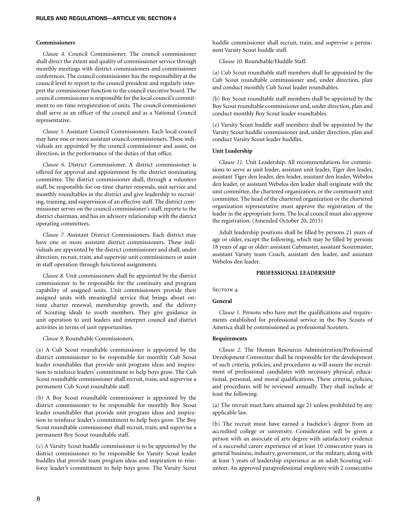#### **Commissioners**

*Clause 4.* Council Commissioner. The council commissioner shall direct the extent and quality of commissioner service through monthly meetings with district commissioners and commissioner conferences. The council commissioner has the responsibility at the council level to report to the council president and regularly interpret the commissioner function to the council executive board. The council commissioner is responsible for the local council's commitment to on-time reregistration of units. The council commissioner shall serve as an officer of the council and as a National Council representative.

*Clause 5.* Assistant Council Commissioners. Each local council may have one or more assistant council commissioners. These individuals are appointed by the council commissioner and assist, on direction, in the performance of the duties of that office.

*Clause 6.* District Commissioner. A district commissioner is offered for approval and appointment by the district nominating committee. The district commissioner shall, through a volunteer staff, be responsible for on-time charter renewals, unit service and monthly roundtables in the district and give leadership to recruiting, training, and supervision of an effective staff. The district commissioner serves on the council commissioner's staff, reports to the district chairman, and has an advisory relationship with the district operating committees.

*Clause 7.* Assistant District Commissioners. Each district may have one or more assistant district commissioners. These individuals are appointed by the district commissioner and shall, under direction, recruit, train, and supervise unit commissioners or assist in staff operation through functional assignments.

*Clause 8.* Unit commissioners shall be appointed by the district commissioner to be responsible for the continuity and program capability of assigned units. Unit commissioners provide their assigned units with meaningful service that brings about ontime charter renewal, membership growth, and the delivery of Scouting ideals to youth members. They give guidance in unit operation to unit leaders and interpret council and district activities in terms of unit opportunities.

*Clause 9*. Roundtable Commissioners.

(a) A Cub Scout roundtable commissioner is appointed by the district commissioner to be responsible for monthly Cub Scout leader roundtables that provide unit program ideas and inspiration to reinforce leaders' commitment to help boys grow. The Cub Scout roundtable commissioner shall recruit, train, and supervise a permanent Cub Scout roundtable staff.

(b) A Boy Scout roundtable commissioner is appointed by the district commissioner to be responsible for monthly Boy Scout leader roundtables that provide unit program ideas and inspiration to reinforce leader's commitment to help boys grow. The Boy Scout roundtable commissioner shall recruit, train, and supervise a permanent Boy Scout roundtable staff.

(c) A Varsity Scout huddle commissioner is to be appointed by the district commissioner to be responsible for Varsity Scout leader huddles that provide team program ideas and inspiration to reinforce leader's commitment to help boys grow. The Varsity Scout huddle commissioner shall recruit, train, and supervise a permanent Varsity Scout huddle staff.

*Clause 10.* Roundtable/Huddle Staff.

(a) Cub Scout roundtable staff members shall be appointed by the Cub Scout roundtable commissioner and, under direction, plan and conduct monthly Cub Scout leader roundtables.

(b) Boy Scout roundtable staff members shall be appointed by the Boy Scout roundtable commissioner and, under direction, plan and conduct monthly Boy Scout leader roundtables.

(c) Varsity Scout huddle staff members shall be appointed by the Varsity Scout huddle commissioner and, under direction, plan and conduct Varsity Scout leader huddles.

#### **Unit Leadership**

*Clause 11.* Unit Leadership. All recommendations for commissions to serve as unit leader, assistant unit leader, Tiger den leader, assistant Tiger den leader, den leader, assistant den leader, Webelos den leader, or assistant Webelos den leader shall originate with the unit committee, the chartered organization, or the community unit committee. The head of the chartered organization or the chartered organization representative must approve the registration of the leader in the appropriate form. The local council must also approve the registration. (Amended October 20, 2013)

Adult leadership positions shall be filled by persons 21 years of age or older, except the following, which may be filled by persons 18 years of age or older: assistant Cubmaster, assistant Scoutmaster, assistant Varsity team Coach, assistant den leader, and assistant Webelos den leader.

#### **PROFESSIONAL LEADERSHIP**

SECTION 4.

#### **General**

*Clause 1.* Persons who have met the qualifications and requirements established for professional service in the Boy Scouts of America shall be commissioned as professional Scouters.

#### **Requirements**

*Clause 2.* The Human Resources Administration/Professional Development Committee shall be responsible for the development of such criteria, policies, and procedures as will assure the recruitment of professional candidates with necessary physical, educational, personal, and moral qualifications. These criteria, policies, and procedures will be reviewed annually. They shall include at least the following:

(a) The recruit must have attained age 21 unless prohibited by any applicable law.

(b) The recruit must have earned a bachelor's degree from an accredited college or university. Consideration will be given a person with an associate of arts degree with satisfactory evidence of a successful career experience of at least 10 consecutive years in general business, industry, government, or the military, along with at least 5 years of leadership experience as an adult Scouting volunteer. An approved paraprofessional employee with 2 consecutive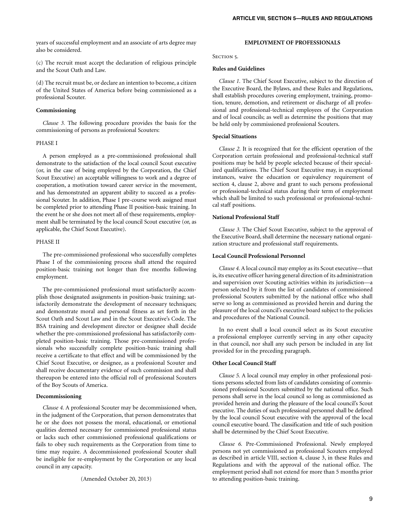years of successful employment and an associate of arts degree may also be considered.

(c) The recruit must accept the declaration of religious principle and the Scout Oath and Law.

(d) The recruit must be, or declare an intention to become, a citizen of the United States of America before being commissioned as a professional Scouter.

#### **Commissioning**

*Clause 3.* The following procedure provides the basis for the commissioning of persons as professional Scouters:

#### PHASE I

A person employed as a pre-commissioned professional shall demonstrate to the satisfaction of the local council Scout executive (or, in the case of being employed by the Corporation, the Chief Scout Executive) an acceptable willingness to work and a degree of cooperation, a motivation toward career service in the movement, and has demonstrated an apparent ability to succeed as a professional Scouter. In addition, Phase I pre-course work assigned must be completed prior to attending Phase II position-basic training. In the event he or she does not meet all of these requirements, employment shall be terminated by the local council Scout executive (or, as applicable, the Chief Scout Executive).

#### PHASE II

The pre-commissioned professional who successfully completes Phase I of the commissioning process shall attend the required position-basic training not longer than five months following employment.

The pre-commissioned professional must satisfactorily accomplish those designated assignments in position-basic training; satisfactorily demonstrate the development of necessary techniques; and demonstrate moral and personal fitness as set forth in the Scout Oath and Scout Law and in the Scout Executive's Code. The BSA training and development director or designee shall decide whether the pre-commissioned professional has satisfactorily completed position-basic training. Those pre-commissioned professionals who successfully complete position-basic training shall receive a certificate to that effect and will be commissioned by the Chief Scout Executive, or designee, as a professional Scouter and shall receive documentary evidence of such commission and shall thereupon be entered into the official roll of professional Scouters of the Boy Scouts of America.

#### **Decommissioning**

*Clause 4.* A professional Scouter may be decommissioned when, in the judgment of the Corporation, that person demonstrates that he or she does not possess the moral, educational, or emotional qualities deemed necessary for commissioned professional status or lacks such other commissioned professional qualifications or fails to obey such requirements as the Corporation from time to time may require. A decommissioned professional Scouter shall be ineligible for re-employment by the Corporation or any local council in any capacity.

(Amended October 20, 2013)

#### **EMPLOYMENT OF PROFESSIONALS**

SECTION<sub>5</sub>.

#### **Rules and Guidelines**

*Clause 1.* The Chief Scout Executive, subject to the direction of the Executive Board, the Bylaws, and these Rules and Regulations, shall establish procedures covering employment, training, promotion, tenure, demotion, and retirement or discharge of all professional and professional-technical employees of the Corporation and of local councils; as well as determine the positions that may be held only by commissioned professional Scouters.

#### **Special Situations**

*Clause 2.* It is recognized that for the efficient operation of the Corporation certain professional and professional-technical staff positions may be held by people selected because of their specialized qualifications. The Chief Scout Executive may, in exceptional instances, waive the education or equivalency requirement of section 4, clause 2, above and grant to such persons professional or professional-technical status during their term of employment which shall be limited to such professional or professional-technical staff positions.

#### **National Professional Staff**

*Clause 3.* The Chief Scout Executive, subject to the approval of the Executive Board, shall determine the necessary national organization structure and professional staff requirements.

#### **Local Council Professional Personnel**

*Clause 4.* A local council may employ as its Scout executive—that is, its executive officer having general direction of its administration and supervision over Scouting activities within its jurisdiction—a person selected by it from the list of candidates of commissioned professional Scouters submitted by the national office who shall serve so long as commissioned as provided herein and during the pleasure of the local council's executive board subject to the policies and procedures of the National Council.

In no event shall a local council select as its Scout executive a professional employee currently serving in any other capacity in that council, nor shall any such person be included in any list provided for in the preceding paragraph.

#### **Other Local Council Staff**

*Clause 5.* A local council may employ in other professional positions persons selected from lists of candidates consisting of commissioned professional Scouters submitted by the national office. Such persons shall serve in the local council so long as commissioned as provided herein and during the pleasure of the local council's Scout executive. The duties of such professional personnel shall be defined by the local council Scout executive with the approval of the local council executive board. The classification and title of such position shall be determined by the Chief Scout Executive.

*Clause 6.* Pre-Commissioned Professional. Newly employed persons not yet commissioned as professional Scouters employed as described in article VIII, section 4, clause 3, in these Rules and Regulations and with the approval of the national office. The employment period shall not extend for more than 5 months prior to attending position-basic training.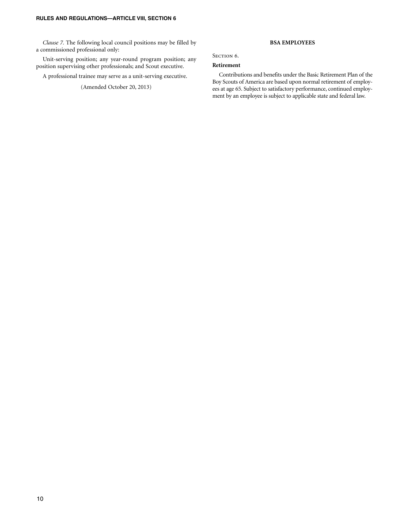*Clause 7.* The following local council positions may be filled by a commissioned professional only:

Unit-serving position; any year-round program position; any position supervising other professionals; and Scout executive.

A professional trainee may serve as a unit-serving executive.

(Amended October 20, 2013)

#### **BSA EMPLOYEES**

SECTION 6.

### **Retirement**

Contributions and benefits under the Basic Retirement Plan of the Boy Scouts of America are based upon normal retirement of employees at age 65. Subject to satisfactory performance, continued employment by an employee is subject to applicable state and federal law.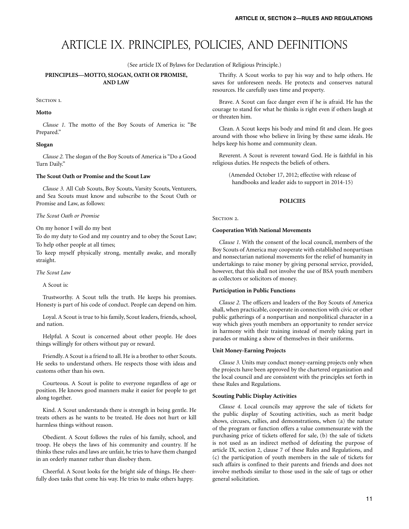# ARTICLE IX. PRINCIPLES, POLICIES, AND DEFINITIONS

(See article IX of Bylaws for Declaration of Religious Principle.)

#### **PRINCIPLES—motto, slogan, OATH OR PROMISE, AND LAW**

#### SECTION 1.

#### **Motto**

*Clause 1.* The motto of the Boy Scouts of America is: "Be Prepared."

#### **Slogan**

*Clause 2.* The slogan of the Boy Scouts of America is "Do a Good Turn Daily."

#### **The Scout Oath or Promise and the Scout Law**

*Clause 3.* All Cub Scouts, Boy Scouts, Varsity Scouts, Venturers, and Sea Scouts must know and subscribe to the Scout Oath or Promise and Law, as follows:

#### *The Scout Oath or Promise*

On my honor I will do my best

To do my duty to God and my country and to obey the Scout Law; To help other people at all times;

To keep myself physically strong, mentally awake, and morally straight.

#### *The Scout Law*

#### A Scout is:

Trustworthy. A Scout tells the truth. He keeps his promises. Honesty is part of his code of conduct. People can depend on him.

Loyal. A Scout is true to his family, Scout leaders, friends, school, and nation.

Helpful. A Scout is concerned about other people. He does things willingly for others without pay or reward.

Friendly. A Scout is a friend to all. He is a brother to other Scouts. He seeks to understand others. He respects those with ideas and customs other than his own.

Courteous. A Scout is polite to everyone regardless of age or position. He knows good manners make it easier for people to get along together.

Kind. A Scout understands there is strength in being gentle. He treats others as he wants to be treated. He does not hurt or kill harmless things without reason.

Obedient. A Scout follows the rules of his family, school, and troop. He obeys the laws of his community and country. If he thinks these rules and laws are unfair, he tries to have them changed in an orderly manner rather than disobey them.

Cheerful. A Scout looks for the bright side of things. He cheerfully does tasks that come his way. He tries to make others happy.

Thrifty. A Scout works to pay his way and to help others. He saves for unforeseen needs. He protects and conserves natural resources. He carefully uses time and property.

Brave. A Scout can face danger even if he is afraid. He has the courage to stand for what he thinks is right even if others laugh at or threaten him.

Clean. A Scout keeps his body and mind fit and clean. He goes around with those who believe in living by these same ideals. He helps keep his home and community clean.

Reverent. A Scout is reverent toward God. He is faithful in his religious duties. He respects the beliefs of others.

(Amended October 17, 2012; effective with release of handbooks and leader aids to support in 2014-15)

#### **POLICIES**

#### SECTION<sub>2</sub>.

#### **Cooperation With National Movements**

*Clause 1.* With the consent of the local council, members of the Boy Scouts of America may cooperate with established nonpartisan and nonsectarian national movements for the relief of humanity in undertakings to raise money by giving personal service, provided, however, that this shall not involve the use of BSA youth members as collectors or solicitors of money.

#### **Participation in Public Functions**

*Clause 2.* The officers and leaders of the Boy Scouts of America shall, when practicable, cooperate in connection with civic or other public gatherings of a nonpartisan and nonpolitical character in a way which gives youth members an opportunity to render service in harmony with their training instead of merely taking part in parades or making a show of themselves in their uniforms.

#### **Unit Money-Earning Projects**

*Clause 3.* Units may conduct money-earning projects only when the projects have been approved by the chartered organization and the local council and are consistent with the principles set forth in these Rules and Regulations.

#### **Scouting Public Display Activities**

*Clause 4*. Local councils may approve the sale of tickets for the public display of Scouting activities, such as merit badge shows, circuses, rallies, and demonstrations, when (a) the nature of the program or function offers a value commensurate with the purchasing price of tickets offered for sale, (b) the sale of tickets is not used as an indirect method of defeating the purpose of article IX, section 2, clause 7 of these Rules and Regulations, and (c) the participation of youth members in the sale of tickets for such affairs is confined to their parents and friends and does not involve methods similar to those used in the sale of tags or other general solicitation.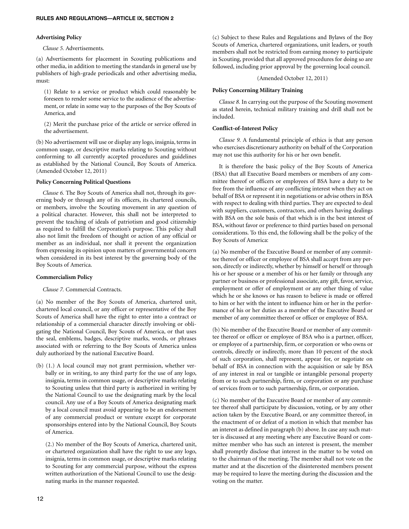#### **Advertising Policy**

*Clause 5.* Advertisements.

(a) Advertisements for placement in Scouting publications and other media, in addition to meeting the standards in general use by publishers of high-grade periodicals and other advertising media, must:

(1) Relate to a service or product which could reasonably be foreseen to render some service to the audience of the advertisement, or relate in some way to the purposes of the Boy Scouts of America, and

(2) Merit the purchase price of the article or service offered in the advertisement.

(b) No advertisement will use or display any logo, insignia, terms in common usage, or descriptive marks relating to Scouting without conforming to all currently accepted procedures and guidelines as established by the National Council, Boy Scouts of America. (Amended October 12, 2011)

#### **Policy Concerning Political Questions**

*Clause 6.* The Boy Scouts of America shall not, through its governing body or through any of its officers, its chartered councils, or members, involve the Scouting movement in any question of a political character. However, this shall not be interpreted to prevent the teaching of ideals of patriotism and good citizenship as required to fulfill the Corporation's purpose. This policy shall also not limit the freedom of thought or action of any official or member as an individual, nor shall it prevent the organization from expressing its opinion upon matters of governmental concern when considered in its best interest by the governing body of the Boy Scouts of America.

#### **Commercialism Policy**

#### *Clause 7.* Commercial Contracts.

(a) No member of the Boy Scouts of America, chartered unit, chartered local council, or any officer or representative of the Boy Scouts of America shall have the right to enter into a contract or relationship of a commercial character directly involving or obligating the National Council, Boy Scouts of America, or that uses the seal, emblems, badges, descriptive marks, words, or phrases associated with or referring to the Boy Scouts of America unless duly authorized by the national Executive Board.

(b) (1.) A local council may not grant permission, whether verbally or in writing, to any third party for the use of any logo, insignia, terms in common usage, or descriptive marks relating to Scouting unless that third party is authorized in writing by the National Council to use the designating mark by the local council. Any use of a Boy Scouts of America designating mark by a local council must avoid appearing to be an endorsement of any commercial product or venture except for corporate sponsorships entered into by the National Council, Boy Scouts of America.

(2.) No member of the Boy Scouts of America, chartered unit, or chartered organization shall have the right to use any logo, insignia, terms in common usage, or descriptive marks relating to Scouting for any commercial purpose, without the express written authorization of the National Council to use the designating marks in the manner requested.

(c) Subject to these Rules and Regulations and Bylaws of the Boy Scouts of America, chartered organizations, unit leaders, or youth members shall not be restricted from earning money to participate in Scouting, provided that all approved procedures for doing so are followed, including prior approval by the governing local council.

(Amended October 12, 2011)

### **Policy Concerning Military Training**

*Clause 8.* In carrying out the purpose of the Scouting movement as stated herein, technical military training and drill shall not be included.

### **Conflict-of-Interest Policy**

*Clause 9.* A fundamental principle of ethics is that any person who exercises discretionary authority on behalf of the Corporation may not use this authority for his or her own benefit.

It is therefore the basic policy of the Boy Scouts of America (BSA) that all Executive Board members or members of any committee thereof or officers or employees of BSA have a duty to be free from the influence of any conflicting interest when they act on behalf of BSA or represent it in negotiations or advise others in BSA with respect to dealing with third parties. They are expected to deal with suppliers, customers, contractors, and others having dealings with BSA on the sole basis of that which is in the best interest of BSA, without favor or preference to third parties based on personal considerations. To this end, the following shall be the policy of the Boy Scouts of America:

(a) No member of the Executive Board or member of any committee thereof or officer or employee of BSA shall accept from any person, directly or indirectly, whether by himself or herself or through his or her spouse or a member of his or her family or through any partner or business or professional associate, any gift, favor, service, employment or offer of employment or any other thing of value which he or she knows or has reason to believe is made or offered to him or her with the intent to influence him or her in the performance of his or her duties as a member of the Executive Board or member of any committee thereof or officer or employee of BSA.

(b) No member of the Executive Board or member of any committee thereof or officer or employee of BSA who is a partner, officer, or employee of a partnership, firm, or corporation or who owns or controls, directly or indirectly, more than 10 percent of the stock of such corporation, shall represent, appear for, or negotiate on behalf of BSA in connection with the acquisition or sale by BSA of any interest in real or tangible or intangible personal property from or to such partnership, firm, or corporation or any purchase of services from or to such partnership, firm, or corporation.

(c) No member of the Executive Board or member of any committee thereof shall participate by discussion, voting, or by any other action taken by the Executive Board, or any committee thereof, in the enactment of or defeat of a motion in which that member has an interest as defined in paragraph (b) above. In case any such matter is discussed at any meeting where any Executive Board or committee member who has such an interest is present, the member shall promptly disclose that interest in the matter to be voted on to the chairman of the meeting. The member shall not vote on the matter and at the discretion of the disinterested members present may be required to leave the meeting during the discussion and the voting on the matter.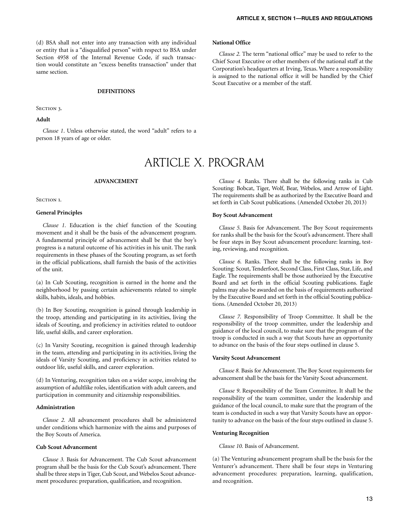*Clause 2.* The term "national office" may be used to refer to the Chief Scout Executive or other members of the national staff at the Corporation's headquarters at Irving, Texas. Where a responsibility is assigned to the national office it will be handled by the Chief

(d) BSA shall not enter into any transaction with any individual or entity that is a "disqualified person" with respect to BSA under Section 4958 of the Internal Revenue Code, if such transaction would constitute an "excess benefits transaction" under that same section.

#### **DEFINITIONS**

SECTION 3.

#### **Adult**

*Clause 1*. Unless otherwise stated, the word "adult" refers to a person 18 years of age or older.

# ARTICLE X. PROGRAM

#### **ADVANCEMENT**

SECTION<sub>1</sub>

### **General Principles**

*Clause 1.* Education is the chief function of the Scouting movement and it shall be the basis of the advancement program. A fundamental principle of advancement shall be that the boy's progress is a natural outcome of his activities in his unit. The rank requirements in these phases of the Scouting program, as set forth in the official publications, shall furnish the basis of the activities of the unit.

(a) In Cub Scouting, recognition is earned in the home and the neighborhood by passing certain achievements related to simple skills, habits, ideals, and hobbies.

(b) In Boy Scouting, recognition is gained through leadership in the troop, attending and participating in its activities, living the ideals of Scouting, and proficiency in activities related to outdoor life, useful skills, and career exploration.

(c) In Varsity Scouting, recognition is gained through leadership in the team, attending and participating in its activities, living the ideals of Varsity Scouting, and proficiency in activities related to outdoor life, useful skills, and career exploration.

(d) In Venturing, recognition takes on a wider scope, involving the assumption of adultlike roles, identification with adult careers, and participation in community and citizenship responsibilities.

#### **Administration**

*Clause 2.* All advancement procedures shall be administered under conditions which harmonize with the aims and purposes of the Boy Scouts of America.

#### **Cub Scout Advancement**

*Clause 3.* Basis for Advancement. The Cub Scout advancement program shall be the basis for the Cub Scout's advancement. There shall be three steps in Tiger, Cub Scout, and Webelos Scout advancement procedures: preparation, qualification, and recognition.

*Clause 4.* Ranks. There shall be the following ranks in Cub Scouting: Bobcat, Tiger, Wolf, Bear, Webelos, and Arrow of Light. The requirements shall be as authorized by the Executive Board and set forth in Cub Scout publications. (Amended October 20, 2013)

#### **Boy Scout Advancement**

**National Office**

Scout Executive or a member of the staff.

*Clause 5.* Basis for Advancement. The Boy Scout requirements for ranks shall be the basis for the Scout's advancement. There shall be four steps in Boy Scout advancement procedure: learning, testing, reviewing, and recognition.

*Clause 6.* Ranks. There shall be the following ranks in Boy Scouting: Scout, Tenderfoot, Second Class, First Class, Star, Life, and Eagle. The requirements shall be those authorized by the Executive Board and set forth in the official Scouting publications. Eagle palms may also be awarded on the basis of requirements authorized by the Executive Board and set forth in the official Scouting publications. (Amended October 20, 2013)

*Clause 7.* Responsibility of Troop Committee. It shall be the responsibility of the troop committee, under the leadership and guidance of the local council, to make sure that the program of the troop is conducted in such a way that Scouts have an opportunity to advance on the basis of the four steps outlined in clause 5.

#### **Varsity Scout Advancement**

*Clause 8.* Basis for Advancement. The Boy Scout requirements for advancement shall be the basis for the Varsity Scout advancement.

*Clause 9*. Responsibility of the Team Committee. It shall be the responsibility of the team committee, under the leadership and guidance of the local council, to make sure that the program of the team is conducted in such a way that Varsity Scouts have an opportunity to advance on the basis of the four steps outlined in clause 5.

#### **Venturing Recognition**

*Clause 10.* Basis of Advancement.

(a) The Venturing advancement program shall be the basis for the Venturer's advancement. There shall be four steps in Venturing advancement procedures: preparation, learning, qualification, and recognition.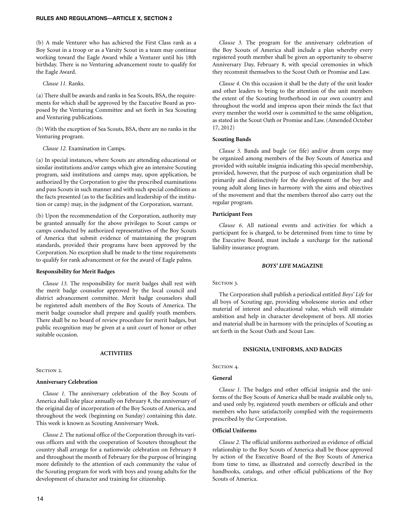(b) A male Venturer who has achieved the First Class rank as a Boy Scout in a troop or as a Varsity Scout in a team may continue working toward the Eagle Award while a Venturer until his 18th birthday. There is no Venturing advancement route to qualify for the Eagle Award.

#### *Clause 11.* Ranks.

(a) There shall be awards and ranks in Sea Scouts, BSA, the requirements for which shall be approved by the Executive Board as proposed by the Venturing Committee and set forth in Sea Scouting and Venturing publications.

(b) With the exception of Sea Scouts, BSA, there are no ranks in the Venturing program.

*Clause 12.* Examination in Camps.

(a) In special instances, where Scouts are attending educational or similar institutions and/or camps which give an intensive Scouting program, said institutions and camps may, upon application, be authorized by the Corporation to give the prescribed examinations and pass Scouts in such manner and with such special conditions as the facts presented (as to the facilities and leadership of the institution or camp) may, in the judgment of the Corporation, warrant.

(b) Upon the recommendation of the Corporation, authority may be granted annually for the above privileges to Scout camps or camps conducted by authorized representatives of the Boy Scouts of America that submit evidence of maintaining the program standards, provided their programs have been approved by the Corporation. No exception shall be made to the time requirements to qualify for rank advancement or for the award of Eagle palms.

#### **Responsibility for Merit Badges**

*Clause 13.* The responsibility for merit badges shall rest with the merit badge counselor approved by the local council and district advancement committee. Merit badge counselors shall be registered adult members of the Boy Scouts of America. The merit badge counselor shall prepare and qualify youth members. There shall be no board of review procedure for merit badges, but public recognition may be given at a unit court of honor or other suitable occasion.

#### **ACTIVITIES**

SECTION 2.

#### **Anniversary Celebration**

*Clause 1.* The anniversary celebration of the Boy Scouts of America shall take place annually on February 8, the anniversary of the original day of incorporation of the Boy Scouts of America, and throughout the week (beginning on Sunday) containing this date. This week is known as Scouting Anniversary Week.

*Clause 2.* The national office of the Corporation through its various officers and with the cooperation of Scouters throughout the country shall arrange for a nationwide celebration on February 8 and throughout the month of February for the purpose of bringing more definitely to the attention of each community the value of the Scouting program for work with boys and young adults for the development of character and training for citizenship.

*Clause 3.* The program for the anniversary celebration of the Boy Scouts of America shall include a plan whereby every registered youth member shall be given an opportunity to observe Anniversary Day, February 8, with special ceremonies in which they recommit themselves to the Scout Oath or Promise and Law.

*Clause 4.* On this occasion it shall be the duty of the unit leader and other leaders to bring to the attention of the unit members the extent of the Scouting brotherhood in our own country and throughout the world and impress upon their minds the fact that every member the world over is committed to the same obligation, as stated in the Scout Oath or Promise and Law. (Amended October 17, 2012)

#### **Scouting Bands**

*Clause 5.* Bands and bugle (or fife) and/or drum corps may be organized among members of the Boy Scouts of America and provided with suitable insignia indicating this special membership, provided, however, that the purpose of such organization shall be primarily and distinctively for the development of the boy and young adult along lines in harmony with the aims and objectives of the movement and that the members thereof also carry out the regular program.

#### **Participant Fees**

*Clause 6*. All national events and activities for which a participant fee is charged, to be determined from time to time by the Executive Board, must include a surcharge for the national liability insurance program.

#### *BOYS' LIFE* **MAGAZINE**

#### SECTION 3.

The Corporation shall publish a periodical entitled *Boys' Life* for all boys of Scouting age, providing wholesome stories and other material of interest and educational value, which will stimulate ambition and help in character development of boys. All stories and material shall be in harmony with the principles of Scouting as set forth in the Scout Oath and Scout Law.

#### **INSIGNIA, UNIFORMS, AND BADGES**

#### SECTION 4.

#### **General**

*Clause 1.* The badges and other official insignia and the uniforms of the Boy Scouts of America shall be made available only to, and used only by, registered youth members or officials and other members who have satisfactorily complied with the requirements prescribed by the Corporation.

#### **Official Uniforms**

*Clause 2.* The official uniforms authorized as evidence of official relationship to the Boy Scouts of America shall be those approved by action of the Executive Board of the Boy Scouts of America from time to time, as illustrated and correctly described in the handbooks, catalogs, and other official publications of the Boy Scouts of America.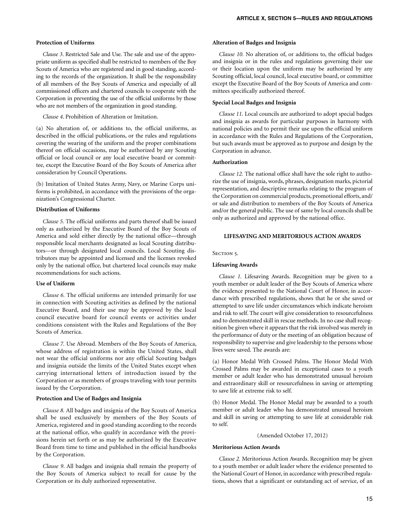#### **Protection of Uniforms**

*Clause 3*. Restricted Sale and Use. The sale and use of the appropriate uniform as specified shall be restricted to members of the Boy Scouts of America who are registered and in good standing, according to the records of the organization. It shall be the responsibility of all members of the Boy Scouts of America and especially of all commissioned officers and chartered councils to cooperate with the Corporation in preventing the use of the official uniforms by those who are not members of the organization in good standing.

*Clause 4*. Prohibition of Alteration or Imitation.

(a) No alteration of, or additions to, the official uniforms, as described in the official publications, or the rules and regulations covering the wearing of the uniform and the proper combinations thereof on official occasions, may be authorized by any Scouting official or local council or any local executive board or committee, except the Executive Board of the Boy Scouts of America after consideration by Council Operations.

(b) Imitation of United States Army, Navy, or Marine Corps uniforms is prohibited, in accordance with the provisions of the organization's Congressional Charter.

### **Distribution of Uniforms**

*Clause 5.* The official uniforms and parts thereof shall be issued only as authorized by the Executive Board of the Boy Scouts of America and sold either directly by the national office—through responsible local merchants designated as local Scouting distributors—or through designated local councils. Local Scouting distributors may be appointed and licensed and the licenses revoked only by the national office, but chartered local councils may make recommendations for such actions.

#### **Use of Uniform**

*Clause 6.* The official uniforms are intended primarily for use in connection with Scouting activities as defined by the national Executive Board, and their use may be approved by the local council executive board for council events or activities under conditions consistent with the Rules and Regulations of the Boy Scouts of America.

*Clause 7.* Use Abroad. Members of the Boy Scouts of America, whose address of registration is within the United States, shall not wear the official uniforms nor any official Scouting badges and insignia outside the limits of the United States except when carrying international letters of introduction issued by the Corporation or as members of groups traveling with tour permits issued by the Corporation.

#### **Protection and Use of Badges and Insignia**

*Clause 8.* All badges and insignia of the Boy Scouts of America shall be used exclusively by members of the Boy Scouts of America, registered and in good standing according to the records at the national office, who qualify in accordance with the provisions herein set forth or as may be authorized by the Executive Board from time to time and published in the official handbooks by the Corporation.

*Clause 9*. All badges and insignia shall remain the property of the Boy Scouts of America subject to recall for cause by the Corporation or its duly authorized representative.

#### **Alteration of Badges and Insignia**

*Clause 10.* No alteration of, or additions to, the official badges and insignia or in the rules and regulations governing their use or their location upon the uniform may be authorized by any Scouting official, local council, local executive board, or committee except the Executive Board of the Boy Scouts of America and committees specifically authorized thereof.

#### **Special Local Badges and Insignia**

*Clause 11.* Local councils are authorized to adopt special badges and insignia as awards for particular purposes in harmony with national policies and to permit their use upon the official uniform in accordance with the Rules and Regulations of the Corporation, but such awards must be approved as to purpose and design by the Corporation in advance.

#### **Authorization**

*Clause 12.* The national office shall have the sole right to authorize the use of insignia, words, phrases, designation marks, pictorial representation, and descriptive remarks relating to the program of the Corporation on commercial products, promotional efforts, and/ or sale and distribution to members of the Boy Scouts of America and/or the general public. The use of same by local councils shall be only as authorized and approved by the national office.

#### **LIFESAVING AND MERITORIOUS ACTION AWARDS**

SECTION 5.

#### **Lifesaving Awards**

*Clause 1.* Lifesaving Awards. Recognition may be given to a youth member or adult leader of the Boy Scouts of America where the evidence presented to the National Court of Honor, in accordance with prescribed regulations, shows that he or she saved or attempted to save life under circumstances which indicate heroism and risk to self. The court will give consideration to resourcefulness and to demonstrated skill in rescue methods. In no case shall recognition be given where it appears that the risk involved was merely in the performance of duty or the meeting of an obligation because of responsibility to supervise and give leadership to the persons whose lives were saved. The awards are:

(a) Honor Medal With Crossed Palms. The Honor Medal With Crossed Palms may be awarded in exceptional cases to a youth member or adult leader who has demonstrated unusual heroism and extraordinary skill or resourcefulness in saving or attempting to save life at extreme risk to self.

(b) Honor Medal. The Honor Medal may be awarded to a youth member or adult leader who has demonstrated unusual heroism and skill in saving or attempting to save life at considerable risk to self.

(Amended October 17, 2012)

### **Meritorious Action Awards**

*Clause 2.* Meritorious Action Awards. Recognition may be given to a youth member or adult leader where the evidence presented to the National Court of Honor, in accordance with prescribed regulations, shows that a significant or outstanding act of service, of an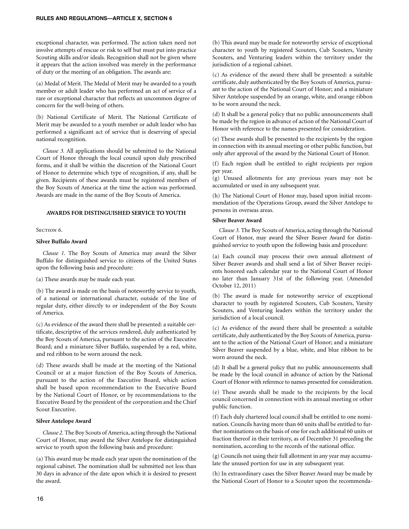exceptional character, was performed. The action taken need not involve attempts of rescue or risk to self but must put into practice Scouting skills and/or ideals. Recognition shall not be given where it appears that the action involved was merely in the performance of duty or the meeting of an obligation. The awards are:

(a) Medal of Merit. The Medal of Merit may be awarded to a youth member or adult leader who has performed an act of service of a rare or exceptional character that reflects an uncommon degree of concern for the well-being of others.

(b) National Certificate of Merit. The National Certificate of Merit may be awarded to a youth member or adult leader who has performed a significant act of service that is deserving of special national recognition.

*Clause 3.* All applications should be submitted to the National Court of Honor through the local council upon duly prescribed forms, and it shall be within the discretion of the National Court of Honor to determine which type of recognition, if any, shall be given. Recipients of these awards must be registered members of the Boy Scouts of America at the time the action was performed. Awards are made in the name of the Boy Scouts of America.

# **AWARDS FOR DISTINGUISHED SERVICE TO YOUTH**

#### SECTION<sub>6</sub>.

#### **Silver Buffalo Award**

*Clause 1.* The Boy Scouts of America may award the Silver Buffalo for distinguished service to citizens of the United States upon the following basis and procedure:

(a) These awards may be made each year.

(b) The award is made on the basis of noteworthy service to youth, of a national or international character, outside of the line of regular duty, either directly to or independent of the Boy Scouts of America.

(c) As evidence of the award there shall be presented: a suitable certificate, descriptive of the services rendered, duly authenticated by the Boy Scouts of America, pursuant to the action of the Executive Board; and a miniature Silver Buffalo, suspended by a red, white, and red ribbon to be worn around the neck.

(d) These awards shall be made at the meeting of the National Council or at a major function of the Boy Scouts of America, pursuant to the action of the Executive Board, which action shall be based upon recommendation to the Executive Board by the National Court of Honor, or by recommendations to the Executive Board by the president of the corporation and the Chief Scout Executive.

#### **Silver Antelope Award**

*Clause 2.* The Boy Scouts of America, acting through the National Court of Honor, may award the Silver Antelope for distinguished service to youth upon the following basis and procedure:

(a) This award may be made each year upon the nomination of the regional cabinet. The nomination shall be submitted not less than 30 days in advance of the date upon which it is desired to present the award.

(b) This award may be made for noteworthy service of exceptional character to youth by registered Scouters, Cub Scouters, Varsity Scouters, and Venturing leaders within the territory under the jurisdiction of a regional cabinet.

(c) As evidence of the award there shall be presented: a suitable certificate, duly authenticated by the Boy Scouts of America, pursuant to the action of the National Court of Honor; and a miniature Silver Antelope suspended by an orange, white, and orange ribbon to be worn around the neck.

(d) It shall be a general policy that no public announcements shall be made by the region in advance of action of the National Court of Honor with reference to the names presented for consideration.

(e) These awards shall be presented to the recipients by the region in connection with its annual meeting or other public function, but only after approval of the award by the National Court of Honor.

(f) Each region shall be entitled to eight recipients per region per year.

(g) Unused allotments for any previous years may not be accumulated or used in any subsequent year.

(h) The National Court of Honor may, based upon initial recommendation of the Operations Group, award the Silver Antelope to persons in overseas areas.

### **Silver Beaver Award**

*Clause 3.* The Boy Scouts of America, acting through the National Court of Honor, may award the Silver Beaver Award for distinguished service to youth upon the following basis and procedure:

(a) Each council may process their own annual allotment of Silver Beaver awards and shall send a list of Silver Beaver recipients honored each calendar year to the National Court of Honor no later than January 31st of the following year. (Amended October 12, 2011)

(b) The award is made for noteworthy service of exceptional character to youth by registered Scouters, Cub Scouters, Varsity Scouters, and Venturing leaders within the territory under the jurisdiction of a local council.

(c) As evidence of the award there shall be presented: a suitable certificate, duly authenticated by the Boy Scouts of America, pursuant to the action of the National Court of Honor; and a miniature Silver Beaver suspended by a blue, white, and blue ribbon to be worn around the neck.

(d) It shall be a general policy that no public announcements shall be made by the local council in advance of action by the National Court of Honor with reference to names presented for consideration.

(e) These awards shall be made to the recipients by the local council concerned in connection with its annual meeting or other public function.

(f) Each duly chartered local council shall be entitled to one nomination. Councils having more than 60 units shall be entitled to further nominations on the basis of one for each additional 60 units or fraction thereof in their territory, as of December 31 preceding the nomination, according to the records of the national office.

(g) Councils not using their full allotment in any year may accumulate the unused portion for use in any subsequent year.

(h) In extraordinary cases the Silver Beaver Award may be made by the National Court of Honor to a Scouter upon the recommenda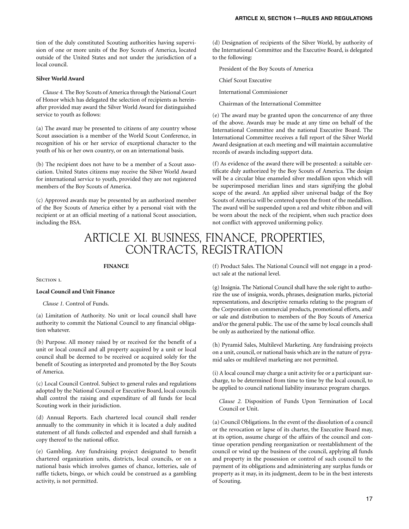tion of the duly constituted Scouting authorities having supervision of one or more units of the Boy Scouts of America, located outside of the United States and not under the jurisdiction of a local council.

#### **Silver World Award**

*Clause 4.* The Boy Scouts of America through the National Court of Honor which has delegated the selection of recipients as hereinafter provided may award the Silver World Award for distinguished service to youth as follows:

(a) The award may be presented to citizens of any country whose Scout association is a member of the World Scout Conference, in recognition of his or her service of exceptional character to the youth of his or her own country, or on an international basis.

(b) The recipient does not have to be a member of a Scout association. United States citizens may receive the Silver World Award for international service to youth, provided they are not registered members of the Boy Scouts of America.

(c) Approved awards may be presented by an authorized member of the Boy Scouts of America either by a personal visit with the recipient or at an official meeting of a national Scout association, including the BSA.

(d) Designation of recipients of the Silver World, by authority of the International Committee and the Executive Board, is delegated to the following:

President of the Boy Scouts of America

Chief Scout Executive

International Commissioner

Chairman of the International Committee

(e) The award may be granted upon the concurrence of any three of the above. Awards may be made at any time on behalf of the International Committee and the national Executive Board. The International Committee receives a full report of the Silver World Award designation at each meeting and will maintain accumulative records of awards including support data.

(f) As evidence of the award there will be presented: a suitable certificate duly authorized by the Boy Scouts of America. The design will be a circular blue enameled silver medallion upon which will be superimposed meridian lines and stars signifying the global scope of the award. An applied silver universal badge of the Boy Scouts of America will be centered upon the front of the medallion. The award will be suspended upon a red and white ribbon and will be worn about the neck of the recipient, when such practice does not conflict with approved uniforming policy.

# ARTICLE XI. BUSINESS, FINANCE, PROPERTIES, CONTRACTS, REGISTRATION

#### **FINANCE**

SECTION<sub>1</sub>.

#### **Local Council and Unit Finance**

*Clause 1.* Control of Funds.

(a) Limitation of Authority. No unit or local council shall have authority to commit the National Council to any financial obligation whatever.

(b) Purpose. All money raised by or received for the benefit of a unit or local council and all property acquired by a unit or local council shall be deemed to be received or acquired solely for the benefit of Scouting as interpreted and promoted by the Boy Scouts of America.

(c) Local Council Control. Subject to general rules and regulations adopted by the National Council or Executive Board, local councils shall control the raising and expenditure of all funds for local Scouting work in their jurisdiction.

(d) Annual Reports. Each chartered local council shall render annually to the community in which it is located a duly audited statement of all funds collected and expended and shall furnish a copy thereof to the national office.

(e) Gambling. Any fundraising project designated to benefit chartered organization units, districts, local councils, or on a national basis which involves games of chance, lotteries, sale of raffle tickets, bingo, or which could be construed as a gambling activity, is not permitted.

(f) Product Sales. The National Council will not engage in a product sale at the national level.

(g) Insignia. The National Council shall have the sole right to authorize the use of insignia, words, phrases, designation marks, pictorial representations, and descriptive remarks relating to the program of the Corporation on commercial products, promotional efforts, and/ or sale and distribution to members of the Boy Scouts of America and/or the general public. The use of the same by local councils shall be only as authorized by the national office.

(h) Pyramid Sales, Multilevel Marketing. Any fundraising projects on a unit, council, or national basis which are in the nature of pyramid sales or multilevel marketing are not permitted.

(i) A local council may charge a unit activity fee or a participant surcharge, to be determined from time to time by the local council, to be applied to council national liability insurance program charges.

*Clause 2.* Disposition of Funds Upon Termination of Local Council or Unit.

(a) Council Obligations. In the event of the dissolution of a council or the revocation or lapse of its charter, the Executive Board may, at its option, assume charge of the affairs of the council and continue operation pending reorganization or reestablishment of the council or wind up the business of the council, applying all funds and property in the possession or control of such council to the payment of its obligations and administering any surplus funds or property as it may, in its judgment, deem to be in the best interests of Scouting.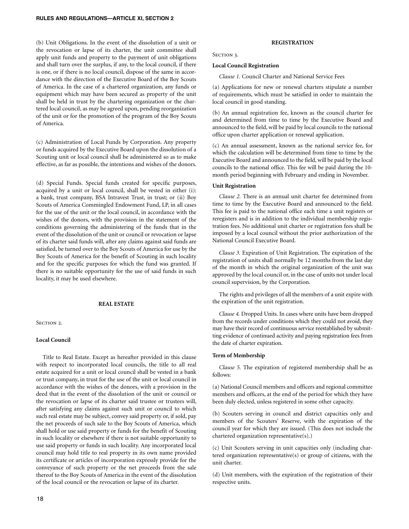(b) Unit Obligations. In the event of the dissolution of a unit or the revocation or lapse of its charter, the unit committee shall apply unit funds and property to the payment of unit obligations and shall turn over the surplus, if any, to the local council, if there is one, or if there is no local council, dispose of the same in accordance with the direction of the Executive Board of the Boy Scouts of America. In the case of a chartered organization, any funds or equipment which may have been secured as property of the unit shall be held in trust by the chartering organization or the chartered local council, as may be agreed upon, pending reorganization of the unit or for the promotion of the program of the Boy Scouts of America.

(c) Administration of Local Funds by Corporation. Any property or funds acquired by the Executive Board upon the dissolution of a Scouting unit or local council shall be administered so as to make effective, as far as possible, the intentions and wishes of the donors.

(d) Special Funds. Special funds created for specific purposes, acquired by a unit or local council, shall be vested in either (i): a bank, trust company, BSA Intravest Trust, in trust; or (ii) Boy Scouts of America Commingled Endowment Fund, LP, in all cases for the use of the unit or the local council, in accordance with the wishes of the donors, with the provision in the statement of the conditions governing the administering of the funds that in the event of the dissolution of the unit or council or revocation or lapse of its charter said funds will, after any claims against said funds are satisfied, be turned over to the Boy Scouts of America for use by the Boy Scouts of America for the benefit of Scouting in such locality and for the specific purposes for which the fund was granted. If there is no suitable opportunity for the use of said funds in such locality, it may be used elsewhere.

### **REAL ESTATE**

SECTION 2.

#### **Local Council**

Title to Real Estate. Except as hereafter provided in this clause with respect to incorporated local councils, the title to all real estate acquired for a unit or local council shall be vested in a bank or trust company, in trust for the use of the unit or local council in accordance with the wishes of the donors, with a provision in the deed that in the event of the dissolution of the unit or council or the revocation or lapse of its charter said trustee or trustees will, after satisfying any claims against such unit or council to which such real estate may be subject, convey said property or, if sold, pay the net proceeds of such sale to the Boy Scouts of America, which shall hold or use said property or funds for the benefit of Scouting in such locality or elsewhere if there is not suitable opportunity to use said property or funds in such locality. Any incorporated local council may hold title to real property in its own name provided its certificate or articles of incorporation expressly provide for the conveyance of such property or the net proceeds from the sale thereof to the Boy Scouts of America in the event of the dissolution of the local council or the revocation or lapse of its charter.

#### **REGISTRATION**

SECTION 3.

#### **Local Council Registration**

*Clause 1.* Council Charter and National Service Fees

(a) Applications for new or renewal charters stipulate a number of requirements, which must be satisfied in order to maintain the local council in good standing.

(b) An annual registration fee, known as the council charter fee and determined from time to time by the Executive Board and announced to the field, will be paid by local councils to the national office upon charter application or renewal application.

(c) An annual assessment, known as the national service fee, for which the calculation will be determined from time to time by the Executive Board and announced to the field, will be paid by the local councils to the national office. This fee will be paid during the 10 month period beginning with February and ending in November.

#### **Unit Registration**

*Clause 2.* There is an annual unit charter fee determined from time to time by the Executive Board and announced to the field. This fee is paid to the national office each time a unit registers or reregisters and is in addition to the individual membership registration fees. No additional unit charter or registration fees shall be imposed by a local council without the prior authorization of the National Council Executive Board.

*Clause 3.* Expiration of Unit Registration. The expiration of the registration of units shall normally be 12 months from the last day of the month in which the original organization of the unit was approved by the local council or, in the case of units not under local council supervision, by the Corporation.

The rights and privileges of all the members of a unit expire with the expiration of the unit registration.

*Clause 4.* Dropped Units. In cases where units have been dropped from the records under conditions which they could not avoid, they may have their record of continuous service reestablished by submitting evidence of continued activity and paying registration fees from the date of charter expiration.

#### **Term of Membership**

*Clause 5.* The expiration of registered membership shall be as follows:

(a) National Council members and officers and regional committee members and officers, at the end of the period for which they have been duly elected, unless registered in some other capacity.

(b) Scouters serving in council and district capacities only and members of the Scouters' Reserve, with the expiration of the council year for which they are issued. (This does not include the chartered organization representative(s).)

(c) Unit Scouters serving in unit capacities only (including chartered organization representative(s) or group of citizens, with the unit charter.

(d) Unit members, with the expiration of the registration of their respective units.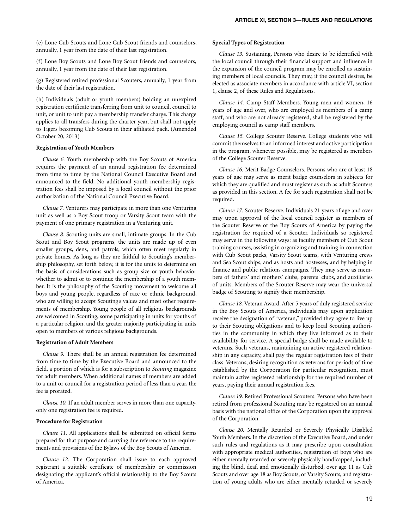(e) Lone Cub Scouts and Lone Cub Scout friends and counselors, annually, 1 year from the date of their last registration.

(f) Lone Boy Scouts and Lone Boy Scout friends and counselors, annually, 1 year from the date of their last registration.

(g) Registered retired professional Scouters, annually, 1 year from the date of their last registration.

(h) Individuals (adult or youth members) holding an unexpired registration certificate transferring from unit to council, council to unit, or unit to unit pay a membership transfer charge. This charge applies to all transfers during the charter year, but shall not apply to Tigers becoming Cub Scouts in their affiliated pack. (Amended October 20, 2013)

#### **Registration of Youth Members**

*Clause 6.* Youth membership with the Boy Scouts of America requires the payment of an annual registration fee determined from time to time by the National Council Executive Board and announced to the field. No additional youth membership registration fees shall be imposed by a local council without the prior authorization of the National Council Executive Board.

*Clause 7.* Venturers may participate in more than one Venturing unit as well as a Boy Scout troop or Varsity Scout team with the payment of one primary registration in a Venturing unit.

*Clause 8.* Scouting units are small, intimate groups. In the Cub Scout and Boy Scout programs, the units are made up of even smaller groups, dens, and patrols, which often meet regularly in private homes. As long as they are faithful to Scouting's membership philosophy, set forth below, it is for the units to determine on the basis of considerations such as group size or youth behavior whether to admit or to continue the membership of a youth member. It is the philosophy of the Scouting movement to welcome all boys and young people, regardless of race or ethnic background, who are willing to accept Scouting's values and meet other requirements of membership. Young people of all religious backgrounds are welcomed in Scouting, some participating in units for youths of a particular religion, and the greater majority participating in units open to members of various religious backgrounds.

### **Registration of Adult Members**

*Clause 9.* There shall be an annual registration fee determined from time to time by the Executive Board and announced to the field, a portion of which is for a subscription to *Scouting* magazine for adult members. When additional names of members are added to a unit or council for a registration period of less than a year, the fee is prorated.

*Clause 10.* If an adult member serves in more than one capacity, only one registration fee is required.

#### **Procedure for Registration**

*Clause 11.* All applications shall be submitted on official forms prepared for that purpose and carrying due reference to the requirements and provisions of the Bylaws of the Boy Scouts of America.

*Clause 12.* The Corporation shall issue to each approved registrant a suitable certificate of membership or commission designating the applicant's official relationship to the Boy Scouts of America.

#### **Special Types of Registration**

*Clause 13.* Sustaining. Persons who desire to be identified with the local council through their financial support and influence in the expansion of the council program may be enrolled as sustaining members of local councils. They may, if the council desires, be elected as associate members in accordance with article VI, section 1, clause 2, of these Rules and Regulations.

*Clause 14.* Camp Staff Members. Young men and women, 16 years of age and over, who are employed as members of a camp staff, and who are not already registered, shall be registered by the employing council as camp staff members.

*Clause 15.* College Scouter Reserve. College students who will commit themselves to an informed interest and active participation in the program, whenever possible, may be registered as members of the College Scouter Reserve.

*Clause 16.* Merit Badge Counselors. Persons who are at least 18 years of age may serve as merit badge counselors in subjects for which they are qualified and must register as such as adult Scouters as provided in this section. A fee for such registration shall not be required.

*Clause 17.* Scouter Reserve. Individuals 21 years of age and over may upon approval of the local council register as members of the Scouter Reserve of the Boy Scouts of America by paying the registration fee required of a Scouter. Individuals so registered may serve in the following ways: as faculty members of Cub Scout training courses, assisting in organizing and training in connection with Cub Scout packs, Varsity Scout teams, with Venturing crews and Sea Scout ships, and as hosts and hostesses, and by helping in finance and public relations campaigns. They may serve as members of fathers' and mothers' clubs, parents' clubs, and auxiliaries of units. Members of the Scouter Reserve may wear the universal badge of Scouting to signify their membership.

*Clause 18.* Veteran Award. After 5 years of duly registered service in the Boy Scouts of America, individuals may upon application receive the designation of "veteran," provided they agree to live up to their Scouting obligations and to keep local Scouting authorities in the community in which they live informed as to their availability for service. A special badge shall be made available to veterans. Such veterans, maintaining an active registered relationship in any capacity, shall pay the regular registration fees of their class. Veterans, desiring recognition as veterans for periods of time established by the Corporation for particular recognition, must maintain active registered relationship for the required number of years, paying their annual registration fees.

*Clause 19*. Retired Professional Scouters. Persons who have been retired from professional Scouting may be registered on an annual basis with the national office of the Corporation upon the approval of the Corporation.

*Clause 20*. Mentally Retarded or Severely Physically Disabled Youth Members. In the discretion of the Executive Board, and under such rules and regulations as it may prescribe upon consultation with appropriate medical authorities, registration of boys who are either mentally retarded or severely physically handicapped, including the blind, deaf, and emotionally disturbed, over age 11 as Cub Scouts and over age 18 as Boy Scouts, or Varsity Scouts, and registration of young adults who are either mentally retarded or severely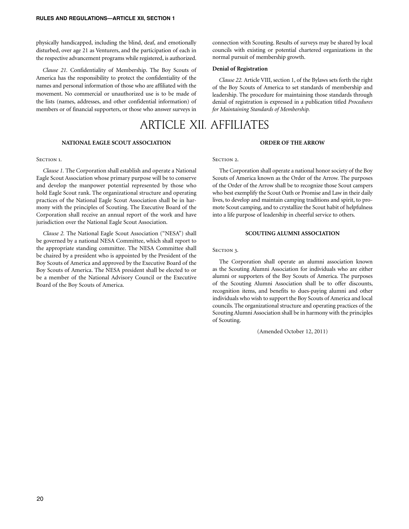physically handicapped, including the blind, deaf, and emotionally disturbed, over age 21 as Venturers, and the participation of each in the respective advancement programs while registered, is authorized.

*Clause 21.* Confidentiality of Membership. The Boy Scouts of America has the responsibility to protect the confidentiality of the names and personal information of those who are affiliated with the movement. No commercial or unauthorized use is to be made of the lists (names, addresses, and other confidential information) of members or of financial supporters, or those who answer surveys in

# **NATIONAL EAGLE SCOUT ASSOCIATION**

#### SECTION 1.

*Clause 1.* The Corporation shall establish and operate a National Eagle Scout Association whose primary purpose will be to conserve and develop the manpower potential represented by those who hold Eagle Scout rank. The organizational structure and operating practices of the National Eagle Scout Association shall be in harmony with the principles of Scouting. The Executive Board of the Corporation shall receive an annual report of the work and have jurisdiction over the National Eagle Scout Association.

*Clause 2.* The National Eagle Scout Association ("NESA") shall be governed by a national NESA Committee, which shall report to the appropriate standing committee. The NESA Committee shall be chaired by a president who is appointed by the President of the Boy Scouts of America and approved by the Executive Board of the Boy Scouts of America. The NESA president shall be elected to or be a member of the National Advisory Council or the Executive Board of the Boy Scouts of America.

connection with Scouting. Results of surveys may be shared by local councils with existing or potential chartered organizations in the normal pursuit of membership growth.

#### **Denial of Registration**

*Clause 22.* Article VIII, section 1, of the Bylaws sets forth the right of the Boy Scouts of America to set standards of membership and leadership. The procedure for maintaining those standards through denial of registration is expressed in a publication titled *Procedures for Maintaining Standards of Membership.*

# ARTICLE XII. AFFILIATES

#### **ORDER OF THE ARROW**

#### SECTION 2.

The Corporation shall operate a national honor society of the Boy Scouts of America known as the Order of the Arrow. The purposes of the Order of the Arrow shall be to recognize those Scout campers who best exemplify the Scout Oath or Promise and Law in their daily lives, to develop and maintain camping traditions and spirit, to promote Scout camping, and to crystallize the Scout habit of helpfulness into a life purpose of leadership in cheerful service to others.

#### **Scouting Alumni Association**

#### SECTION 3.

The Corporation shall operate an alumni association known as the Scouting Alumni Association for individuals who are either alumni or supporters of the Boy Scouts of America. The purposes of the Scouting Alumni Association shall be to offer discounts, recognition items, and benefits to dues-paying alumni and other individuals who wish to support the Boy Scouts of America and local councils. The organizational structure and operating practices of the Scouting Alumni Association shall be in harmony with the principles of Scouting.

(Amended October 12, 2011)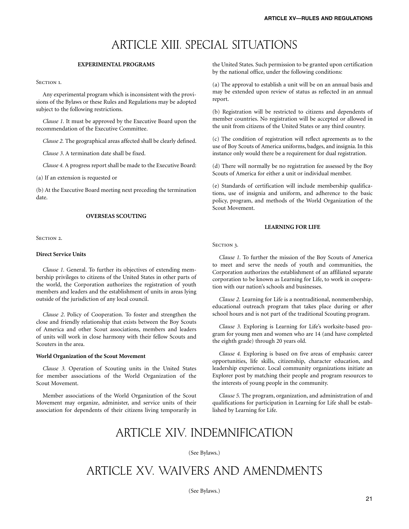# ARTICLE XIII. SPECIAL SITUATIONS

# **EXPERIMENTAL PROGRAMS**

#### SECTION<sub>1</sub>.

Any experimental program which is inconsistent with the provisions of the Bylaws or these Rules and Regulations may be adopted subject to the following restrictions.

*Clause 1.* It must be approved by the Executive Board upon the recommendation of the Executive Committee.

*Clause 2.* The geographical areas affected shall be clearly defined.

*Clause 3*. A termination date shall be fixed.

*Clause 4.* A progress report shall be made to the Executive Board:

(a) If an extension is requested or

(b) At the Executive Board meeting next preceding the termination date.

# **OVERSEAS SCOUTING**

SECTION 2.

### **Direct Service Units**

*Clause 1.* General. To further its objectives of extending membership privileges to citizens of the United States in other parts of the world, the Corporation authorizes the registration of youth members and leaders and the establishment of units in areas lying outside of the jurisdiction of any local council.

*Clause 2*. Policy of Cooperation. To foster and strengthen the close and friendly relationship that exists between the Boy Scouts of America and other Scout associations, members and leaders of units will work in close harmony with their fellow Scouts and Scouters in the area.

#### **World Organization of the Scout Movement**

*Clause 3.* Operation of Scouting units in the United States for member associations of the World Organization of the Scout Movement.

Member associations of the World Organization of the Scout Movement may organize, administer, and service units of their association for dependents of their citizens living temporarily in

the United States. Such permission to be granted upon certification by the national office, under the following conditions:

(a) The approval to establish a unit will be on an annual basis and may be extended upon review of status as reflected in an annual report.

(b) Registration will be restricted to citizens and dependents of member countries. No registration will be accepted or allowed in the unit from citizens of the United States or any third country.

(c) The condition of registration will reflect agreements as to the use of Boy Scouts of America uniforms, badges, and insignia. In this instance only would there be a requirement for dual registration.

(d) There will normally be no registration fee assessed by the Boy Scouts of America for either a unit or individual member.

(e) Standards of certification will include membership qualifications, use of insignia and uniform, and adherence to the basic policy, program, and methods of the World Organization of the Scout Movement.

#### **LEARNING FOR LIFE**

SECTION 3.

*Clause 1.* To further the mission of the Boy Scouts of America to meet and serve the needs of youth and communities, the Corporation authorizes the establishment of an affiliated separate corporation to be known as Learning for Life, to work in cooperation with our nation's schools and businesses.

*Clause 2.* Learning for Life is a nontraditional, nonmembership, educational outreach program that takes place during or after school hours and is not part of the traditional Scouting program.

*Clause 3.* Exploring is Learning for Life's worksite-based program for young men and women who are 14 (and have completed the eighth grade) through 20 years old.

*Clause 4.* Exploring is based on five areas of emphasis: career opportunities, life skills, citizenship, character education, and leadership experience. Local community organizations initiate an Explorer post by matching their people and program resources to the interests of young people in the community.

*Clause 5.* The program, organization, and administration of and qualifications for participation in Learning for Life shall be established by Learning for Life.

# ARTICLE XIV. INDEMNIFICATION

(See Bylaws.)

# ARTICLE XV. WAIVERS AND AMENDMENTS

(See Bylaws.)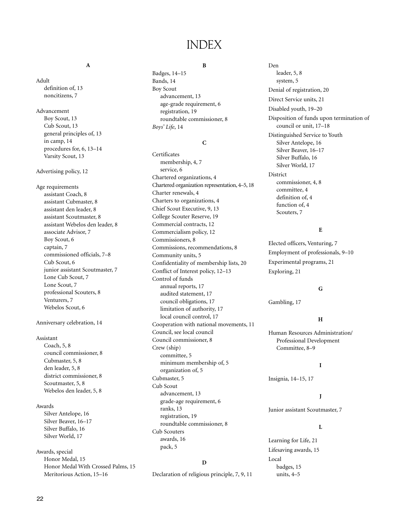# INDEX

**A**

Adult definition of, 13 noncitizens, 7

Advancement Boy Scout, 13 Cub Scout, 13 general principles of, 13 in camp, 14 procedures for, 6, 13–14 Varsity Scout, 13

Advertising policy, 12

Age requirements assistant Coach, 8 assistant Cubmaster, 8 assistant den leader, 8 assistant Scoutmaster, 8 assistant Webelos den leader, 8 associate Advisor, 7 Boy Scout, 6 captain, 7 commissioned officials, 7–8 Cub Scout, 6 junior assistant Scoutmaster, 7 Lone Cub Scout, 7 Lone Scout, 7 professional Scouters, 8 Venturers, 7 Webelos Scout, 6

# Anniversary celebration, 14

Assistant

Coach, 5, 8 council commissioner, 8 Cubmaster, 5, 8 den leader, 5, 8 district commissioner, 8 Scoutmaster, 5, 8 Webelos den leader, 5, 8

#### Awards

Silver Antelope, 16 Silver Beaver, 16–17 Silver Buffalo, 16 Silver World, 17

Awards, special Honor Medal, 15 Honor Medal With Crossed Palms, 15 Meritorious Action, 15–16

# **B**

Badges, 14–15 Bands, 14 Boy Scout advancement, 13 age-grade requirement, 6 registration, 19 roundtable commissioner, 8 *Boys' Life*, 14

# **C**

Certificates membership, 4, 7 service, 6 Chartered organizations, 4 Chartered organization representation, 4–5, 18 Charter renewals, 4 Charters to organizations, 4 Chief Scout Executive, 9, 13 College Scouter Reserve, 19 Commercial contracts, 12 Commercialism policy, 12 Commissioners, 8 Commissions, recommendations, 8 Community units, 5 Confidentiality of membership lists, 20 Conflict of Interest policy, 12–13 Control of funds annual reports, 17 audited statement, 17 council obligations, 17 limitation of authority, 17 local council control, 17 Cooperation with national movements, 11 Council, see local council Council commissioner, 8 Crew (ship) committee, 5 minimum membership of, 5 organization of, 5 Cubmaster, 5 Cub Scout advancement, 13 grade-age requirement, 6 ranks, 13 registration, 19 roundtable commissioner, 8 Cub Scouters

# **D**

Declaration of religious principle, 7, 9, 11

awards, 16 pack, 5

Den

leader, 5, 8 system, 5 Denial of registration, 20 Direct Service units, 21 Disabled youth, 19–20 Disposition of funds upon termination of council or unit, 17–18 Distinguished Service to Youth Silver Antelope, 16 Silver Beaver, 16–17 Silver Buffalo, 16 Silver World, 17 District commissioner, 4, 8 committee, 4 definition of, 4 function of, 4 Scouters, 7

# **E**

Elected officers, Venturing, 7 Employment of professionals, 9–10 Experimental programs, 21 Exploring, 21

# **G**

Gambling, 17

# **H**

Human Resources Administration/ Professional Development Committee, 8–9

# **I**

Insignia, 14–15, 17

# **J**

Junior assistant Scoutmaster, 7

# **L**

Learning for Life, 21 Lifesaving awards, 15 Local badges, 15 units, 4–5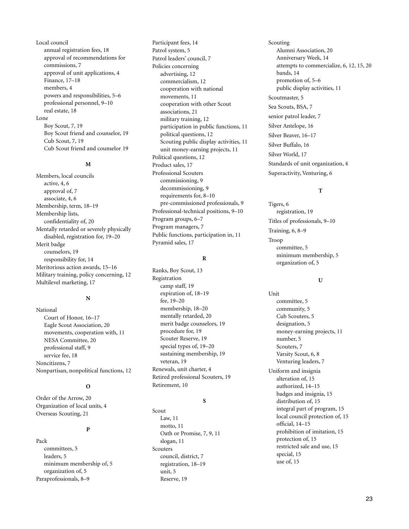Local council annual registration fees, 18 approval of recommendations for commissions, 7 approval of unit applications, 4 Finance, 17–18 members, 4 powers and responsibilities, 5–6 professional personnel, 9–10 real estate, 18 Lone Boy Scout, 7, 19 Boy Scout friend and counselor, 19 Cub Scout, 7, 19 Cub Scout friend and counselor 19

# **M**

Members, local councils active, 4, 6 approval of, 7 associate, 4, 6 Membership, term, 18–19 Membership lists, confidentiality of, 20 Mentally retarded or severely physically disabled, registration for, 19–20 Merit badge counselors, 19 responsibility for, 14 Meritorious action awards, 15–16 Military training, policy concerning, 12 Multilevel marketing, 17

# **N**

National Court of Honor, 16–17 Eagle Scout Association, 20 movements, cooperation with, 11 NESA Committee, 20 professional staff, 9 service fee, 18 Noncitizens, 7 Nonpartisan, nonpolitical functions, 12

# **O**

Order of the Arrow, 20 Organization of local units, 4 Overseas Scouting, 21

# **P**

Pack committees, 5 leaders, 5 minimum membership of, 5 organization of, 5 Paraprofessionals, 8–9

Participant fees, 14 Patrol system, 5 Patrol leaders' council, 7 Policies concerning advertising, 12 commercialism, 12 cooperation with national movements, 11 cooperation with other Scout associations, 21 military training, 12 participation in public functions, 11 political questions, 12 Scouting public display activities, 11 unit money-earning projects, 11 Political questions, 12 Product sales, 17 Professional Scouters commissioning, 9 decommissioning, 9 requirements for, 8–10 pre-commissioned professionals, 9 Professional-technical positions, 9–10 Program groups, 6–7 Program managers, 7 Public functions, participation in, 11 Pyramid sales, 17

# **R**

Ranks, Boy Scout, 13 Registration camp staff, 19 expiration of, 18–19 fee, 19–20 membership, 18–20 mentally retarded, 20 merit badge counselors, 19 procedure for, 19 Scouter Reserve, 19 special types of, 19–20 sustaining membership, 19 veteran, 19 Renewals, unit charter, 4 Retired professional Scouters, 19 Retirement, 10

# **S**

Scout Law, 11 motto, 11 Oath or Promise, 7, 9, 11 slogan, 11 Scouters council, district, 7 registration, 18–19 unit, 5 Reserve, 19

Scouting Alumni Association, 20 Anniversary Week, 14 attempts to commercialize, 6, 12, 15, 20 bands, 14 promotion of, 5–6 public display activities, 11 Scoutmaster, 5 Sea Scouts, BSA, 7 senior patrol leader, 7 Silver Antelope, 16 Silver Beaver, 16–17 Silver Buffalo, 16 Silver World, 17 Standards of unit organization, 4 Superactivity, Venturing, 6

# **T**

Tigers, 6 registration, 19 Titles of professionals, 9–10 Training, 6, 8–9 Troop committee, 5 minimum membership, 5 organization of, 5

### **U**

Unit committee, 5 community, 5 Cub Scouters, 5 designation, 5 money-earning projects, 11 number, 5 Scouters, 7 Varsity Scout, 6, 8 Venturing leaders, 7 Uniform and insignia alteration of, 15 authorized, 14–15 badges and insignia, 15 distribution of, 15 integral part of program, 15 local council protection of, 15 official, 14–15 prohibition of imitation, 15 protection of, 15 restricted sale and use, 15 special, 15 use of, 15